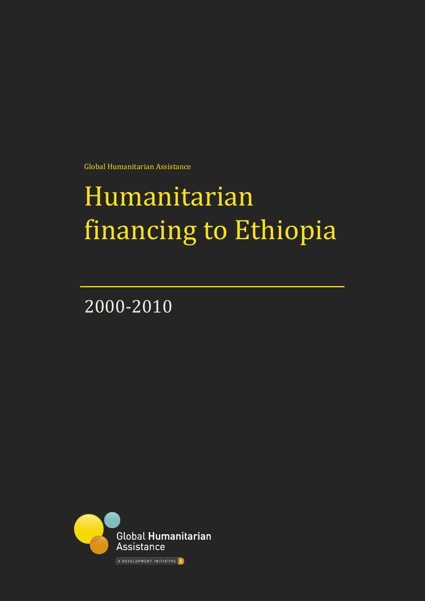Global Humanitarian Assistance

# Humanitarian financing to Ethiopia

2000-2010

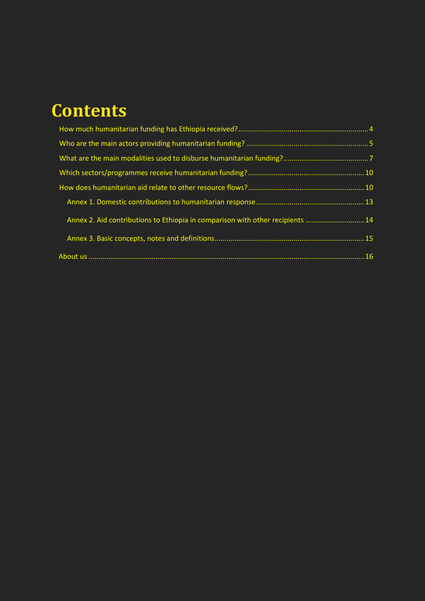# **Contents**

| Annex 2. Aid contributions to Ethiopia in comparison with other recipients  14 |  |
|--------------------------------------------------------------------------------|--|
|                                                                                |  |
|                                                                                |  |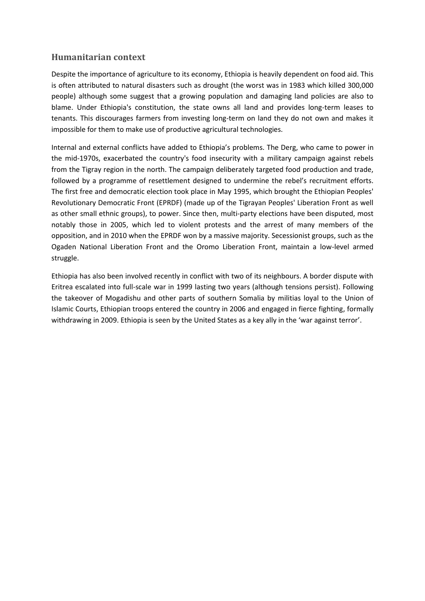# **Humanitarian context**

Despite the importance of agriculture to its economy, Ethiopia is heavily dependent on food aid. This is often attributed to natural disasters such as drought (the worst was in 1983 which killed 300,000 people) although some suggest that a growing population and damaging land policies are also to blame. Under Ethiopia's constitution, the state owns all land and provides long-term leases to tenants. This discourages farmers from investing long-term on land they do not own and makes it impossible for them to make use of productive agricultural technologies.

Internal and external conflicts have added to Ethiopia's problems. The Derg, who came to power in the mid-1970s, exacerbated the country's food insecurity with a military campaign against rebels from the Tigray region in the north. The campaign deliberately targeted food production and trade, followed by a programme of resettlement designed to undermine the rebel's recruitment efforts. The first free and democratic election took place in May 1995, which brought the Ethiopian Peoples' Revolutionary Democratic Front (EPRDF) (made up of the Tigrayan Peoples' Liberation Front as well as other small ethnic groups), to power. Since then, multi-party elections have been disputed, most notably those in 2005, which led to violent protests and the arrest of many members of the opposition, and in 2010 when the EPRDF won by a massive majority. Secessionist groups, such as the Ogaden National Liberation Front and the Oromo Liberation Front, maintain a low-level armed struggle.

Ethiopia has also been involved recently in conflict with two of its neighbours. A border dispute with Eritrea escalated into full-scale war in 1999 lasting two years (although tensions persist). Following the takeover of Mogadishu and other parts of southern Somalia by militias loyal to the Union of Islamic Courts, Ethiopian troops entered the country in 2006 and engaged in fierce fighting, formally withdrawing in 2009. Ethiopia is seen by the United States as a key ally in the 'war against terror'.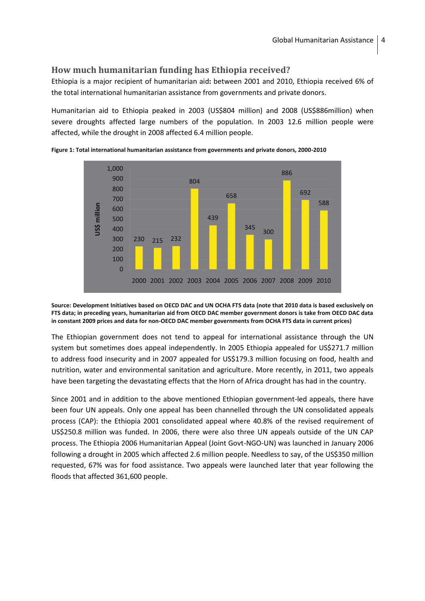# <span id="page-3-0"></span>**How much humanitarian funding has Ethiopia received?**

Ethiopia is a major recipient of humanitarian aid**:** between 2001 and 2010, Ethiopia received 6% of the total international humanitarian assistance from governments and private donors.

Humanitarian aid to Ethiopia peaked in 2003 (US\$804 million) and 2008 (US\$886million) when severe droughts affected large numbers of the population. In 2003 12.6 million people were affected, while the drought in 2008 affected 6.4 million people.



**Figure 1: Total international humanitarian assistance from governments and private donors, 2000-2010**

**Source: Development Initiatives based on OECD DAC and UN OCHA FTS data (note that 2010 data is based exclusively on FTS data; in preceding years, humanitarian aid from OECD DAC member government donors is take from OECD DAC data in constant 2009 prices and data for non-OECD DAC member governments from OCHA FTS data in current prices)** 

The Ethiopian government does not tend to appeal for international assistance through the UN system but sometimes does appeal independently. In 2005 Ethiopia appealed for US\$271.7 million to address food insecurity and in 2007 appealed for US\$179.3 million focusing on food, health and nutrition, water and environmental sanitation and agriculture. More recently, in 2011, two appeals have been targeting the devastating effects that the Horn of Africa drought has had in the country.

Since 2001 and in addition to the above mentioned Ethiopian government-led appeals, there have been four UN appeals. Only one appeal has been channelled through the UN consolidated appeals process (CAP): the Ethiopia 2001 consolidated appeal where 40.8% of the revised requirement of US\$250.8 million was funded. In 2006, there were also three UN appeals outside of the UN CAP process. The Ethiopia 2006 Humanitarian Appeal (Joint Govt-NGO-UN) was launched in January 2006 following a drought in 2005 which affected 2.6 million people. Needless to say, of the US\$350 million requested, 67% was for food assistance. Two appeals were launched later that year following the floods that affected 361,600 people.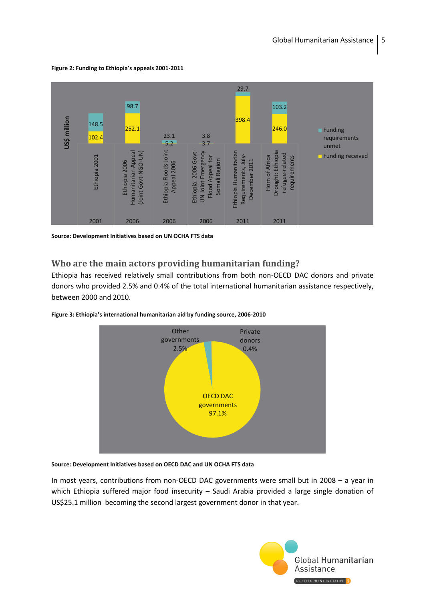**Figure 2: Funding to Ethiopia's appeals 2001-2011**



**Source: Development Initiatives based on UN OCHA FTS data**

### <span id="page-4-0"></span>**Who are the main actors providing humanitarian funding?**

Ethiopia has received relatively small contributions from both non-OECD DAC donors and private donors who provided 2.5% and 0.4% of the total international humanitarian assistance respectively, between 2000 and 2010.



**Figure 3: Ethiopia's international humanitarian aid by funding source, 2006-2010**

#### **Source: Development Initiatives based on OECD DAC and UN OCHA FTS data**

In most years, contributions from non-OECD DAC governments were small but in 2008 – a year in which Ethiopia suffered major food insecurity – Saudi Arabia provided a large single donation of US\$25.1 million becoming the second largest government donor in that year.

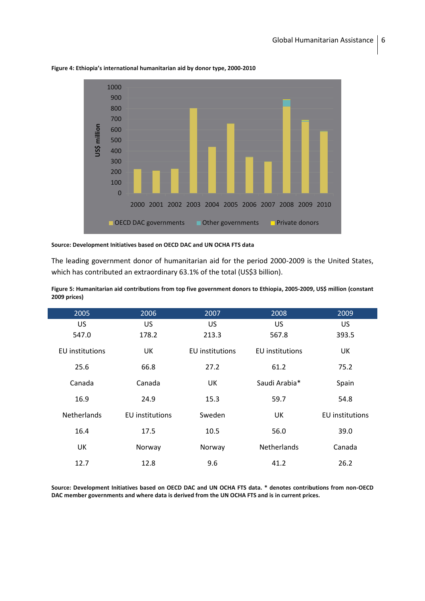

**Figure 4: Ethiopia's international humanitarian aid by donor type, 2000-2010**

#### **Source: Development Initiatives based on OECD DAC and UN OCHA FTS data**

The leading government donor of humanitarian aid for the period 2000-2009 is the United States, which has contributed an extraordinary 63.1% of the total (US\$3 billion).

| 2006<br>2005           |                        | 2007                   | 2008                   | 2009                   |
|------------------------|------------------------|------------------------|------------------------|------------------------|
| <b>US</b>              | US.                    | US                     | <b>US</b>              | US                     |
| 547.0                  | 178.2                  | 213.3                  | 567.8                  | 393.5                  |
| <b>EU</b> institutions | UK                     | <b>EU</b> institutions | <b>EU</b> institutions | UK                     |
| 25.6                   | 66.8                   | 27.2                   | 61.2                   | 75.2                   |
| Canada                 | Canada                 | UK                     | Saudi Arabia*          | Spain                  |
| 16.9                   | 24.9                   | 15.3                   | 59.7                   | 54.8                   |
| <b>Netherlands</b>     | <b>EU</b> institutions | Sweden                 | UK                     | <b>EU</b> institutions |
| 16.4                   | 17.5                   | 10.5                   | 56.0                   | 39.0                   |
| UK                     | Norway                 | Norway                 | <b>Netherlands</b>     | Canada                 |
| 12.7                   | 12.8                   | 9.6                    | 41.2                   | 26.2                   |

**Figure 5: Humanitarian aid contributions from top five government donors to Ethiopia, 2005-2009, US\$ million (constant 2009 prices)**

**Source: Development Initiatives based on OECD DAC and UN OCHA FTS data. \* denotes contributions from non-OECD DAC member governments and where data is derived from the UN OCHA FTS and is in current prices.**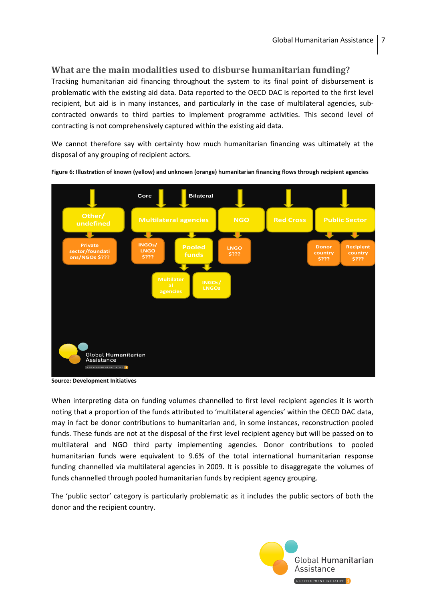# <span id="page-6-0"></span>**What are the main modalities used to disburse humanitarian funding?**

Tracking humanitarian aid financing throughout the system to its final point of disbursement is problematic with the existing aid data. Data reported to the OECD DAC is reported to the first level recipient, but aid is in many instances, and particularly in the case of multilateral agencies, subcontracted onwards to third parties to implement programme activities. This second level of contracting is not comprehensively captured within the existing aid data.

We cannot therefore say with certainty how much humanitarian financing was ultimately at the disposal of any grouping of recipient actors.



**Figure 6: Illustration of known (yellow) and unknown (orange) humanitarian financing flows through recipient agencies** 

**Source: Development Initiatives**

When interpreting data on funding volumes channelled to first level recipient agencies it is worth noting that a proportion of the funds attributed to 'multilateral agencies' within the OECD DAC data, may in fact be donor contributions to humanitarian and, in some instances, reconstruction pooled funds. These funds are not at the disposal of the first level recipient agency but will be passed on to multilateral and NGO third party implementing agencies. Donor contributions to pooled humanitarian funds were equivalent to 9.6% of the total international humanitarian response funding channelled via multilateral agencies in 2009. It is possible to disaggregate the volumes of funds channelled through pooled humanitarian funds by recipient agency grouping.

The 'public sector' category is particularly problematic as it includes the public sectors of both the donor and the recipient country.

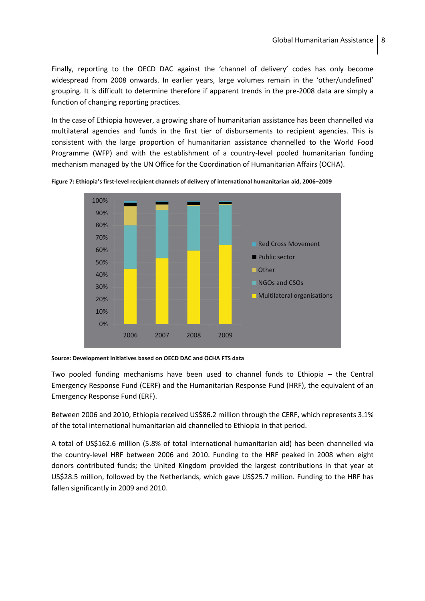Finally, reporting to the OECD DAC against the 'channel of delivery' codes has only become widespread from 2008 onwards. In earlier years, large volumes remain in the 'other/undefined' grouping. It is difficult to determine therefore if apparent trends in the pre-2008 data are simply a function of changing reporting practices.

In the case of Ethiopia however, a growing share of humanitarian assistance has been channelled via multilateral agencies and funds in the first tier of disbursements to recipient agencies. This is consistent with the large proportion of humanitarian assistance channelled to the World Food Programme (WFP) and with the establishment of a country-level pooled humanitarian funding mechanism managed by the UN Office for the Coordination of Humanitarian Affairs (OCHA).



**Figure 7: Ethiopia's first-level recipient channels of delivery of international humanitarian aid, 2006–2009**

**Source: Development Initiatives based on OECD DAC and OCHA FTS data**

Two pooled funding mechanisms have been used to channel funds to Ethiopia – the Central Emergency Response Fund (CERF) and the Humanitarian Response Fund (HRF), the equivalent of an Emergency Response Fund (ERF).

Between 2006 and 2010, Ethiopia received US\$86.2 million through the CERF, which represents 3.1% of the total international humanitarian aid channelled to Ethiopia in that period.

A total of US\$162.6 million (5.8% of total international humanitarian aid) has been channelled via the country-level HRF between 2006 and 2010. Funding to the HRF peaked in 2008 when eight donors contributed funds; the United Kingdom provided the largest contributions in that year at US\$28.5 million, followed by the Netherlands, which gave US\$25.7 million. Funding to the HRF has fallen significantly in 2009 and 2010.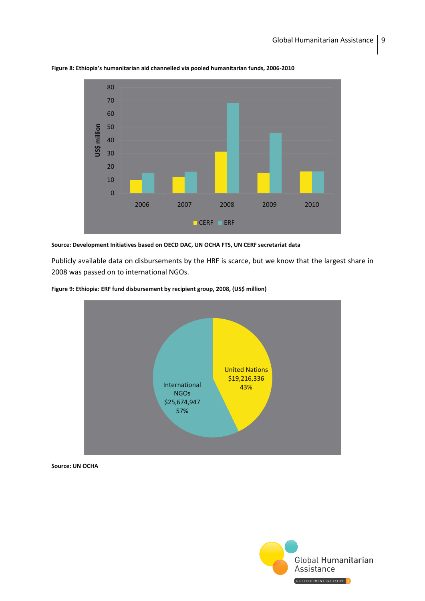

**Figure 8: Ethiopia's humanitarian aid channelled via pooled humanitarian funds, 2006-2010**

#### **Source: Development Initiatives based on OECD DAC, UN OCHA FTS, UN CERF secretariat data**

Publicly available data on disbursements by the HRF is scarce, but we know that the largest share in 2008 was passed on to international NGOs.





**Source: UN OCHA** 

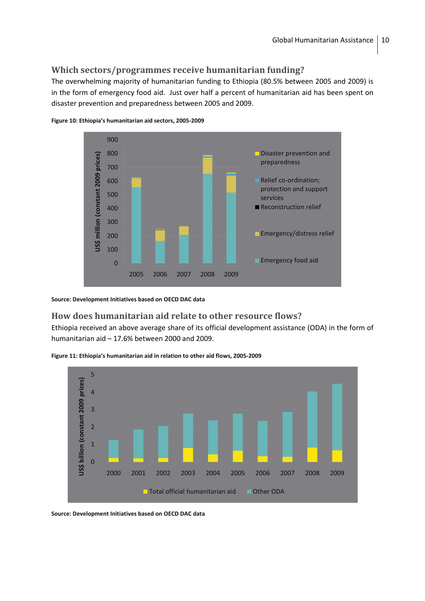# <span id="page-9-0"></span>**Which sectors/programmes receive humanitarian funding?**

The overwhelming majority of humanitarian funding to Ethiopia (80.5% between 2005 and 2009) is in the form of emergency food aid. Just over half a percent of humanitarian aid has been spent on disaster prevention and preparedness between 2005 and 2009.



**Figure 10: Ethiopia's humanitarian aid sectors, 2005-2009**

**Source: Development Initiatives based on OECD DAC data**

# <span id="page-9-1"></span>**How does humanitarian aid relate to other resource flows?**

Ethiopia received an above average share of its official development assistance (ODA) in the form of humanitarian aid – 17.6% between 2000 and 2009.





**Source: Development Initiatives based on OECD DAC data**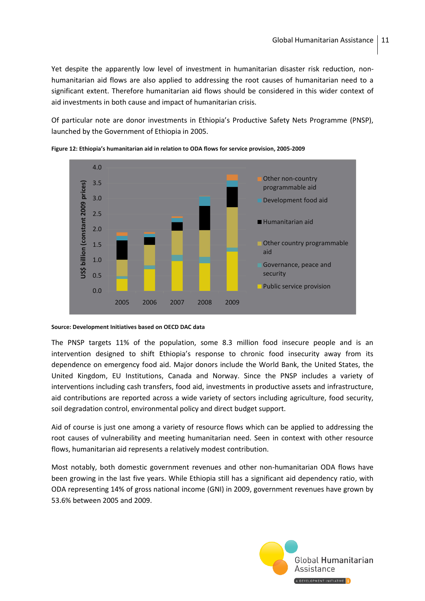Yet despite the apparently low level of investment in humanitarian disaster risk reduction, nonhumanitarian aid flows are also applied to addressing the root causes of humanitarian need to a significant extent. Therefore humanitarian aid flows should be considered in this wider context of aid investments in both cause and impact of humanitarian crisis.

Of particular note are donor investments in Ethiopia's Productive Safety Nets Programme (PNSP), launched by the Government of Ethiopia in 2005.



**Figure 12: Ethiopia's humanitarian aid in relation to ODA flows for service provision, 2005-2009**

#### **Source: Development Initiatives based on OECD DAC data**

The PNSP targets 11% of the population, some 8.3 million food insecure people and is an intervention designed to shift Ethiopia's response to chronic food insecurity away from its dependence on emergency food aid. Major donors include the World Bank, the United States, the United Kingdom, EU Institutions, Canada and Norway. Since the PNSP includes a variety of interventions including cash transfers, food aid, investments in productive assets and infrastructure, aid contributions are reported across a wide variety of sectors including agriculture, food security, soil degradation control, environmental policy and direct budget support.

Aid of course is just one among a variety of resource flows which can be applied to addressing the root causes of vulnerability and meeting humanitarian need. Seen in context with other resource flows, humanitarian aid represents a relatively modest contribution.

Most notably, both domestic government revenues and other non-humanitarian ODA flows have been growing in the last five years. While Ethiopia still has a significant aid dependency ratio, with ODA representing 14% of gross national income (GNI) in 2009, government revenues have grown by 53.6% between 2005 and 2009.

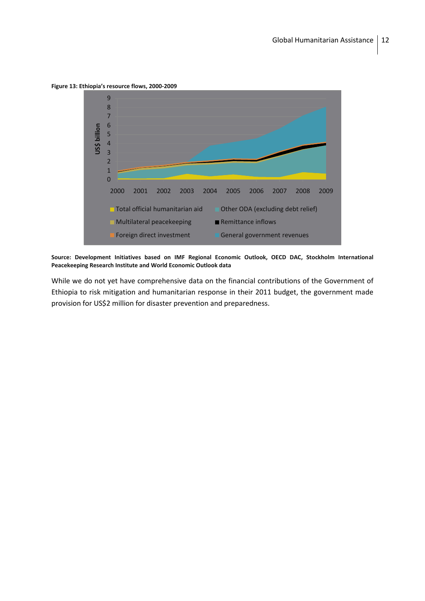**Figure 13: Ethiopia's resource flows, 2000-2009** 



**Source: Development Initiatives based on IMF Regional Economic Outlook, OECD DAC, Stockholm International Peacekeeping Research Institute and World Economic Outlook data**

While we do not yet have comprehensive data on the financial contributions of the Government of Ethiopia to risk mitigation and humanitarian response in their 2011 budget, the government made provision for US\$2 million for disaster prevention and preparedness.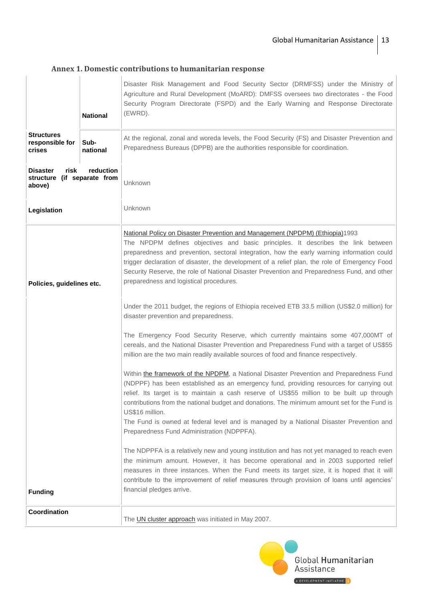# <span id="page-12-0"></span>**Annex 1. Domestic contributions to humanitarian response**

|                                                                               | <b>National</b>  | Disaster Risk Management and Food Security Sector (DRMFSS) under the Ministry of<br>Agriculture and Rural Development (MoARD): DMFSS oversees two directorates - the Food<br>Security Program Directorate (FSPD) and the Early Warning and Response Directorate<br>(EWRD).                                                                                                                                                                                                                                                                  |  |  |  |
|-------------------------------------------------------------------------------|------------------|---------------------------------------------------------------------------------------------------------------------------------------------------------------------------------------------------------------------------------------------------------------------------------------------------------------------------------------------------------------------------------------------------------------------------------------------------------------------------------------------------------------------------------------------|--|--|--|
| <b>Structures</b><br>responsible for<br>crises                                | Sub-<br>national | At the regional, zonal and woreda levels, the Food Security (FS) and Disaster Prevention and<br>Preparedness Bureaus (DPPB) are the authorities responsible for coordination.                                                                                                                                                                                                                                                                                                                                                               |  |  |  |
| reduction<br>risk<br><b>Disaster</b><br>structure (if separate from<br>above) |                  | Unknown                                                                                                                                                                                                                                                                                                                                                                                                                                                                                                                                     |  |  |  |
| Legislation                                                                   |                  | Unknown                                                                                                                                                                                                                                                                                                                                                                                                                                                                                                                                     |  |  |  |
| Policies, guidelines etc.                                                     |                  | National Policy on Disaster Prevention and Management (NPDPM) (Ethiopia)1993<br>The NPDPM defines objectives and basic principles. It describes the link between<br>preparedness and prevention, sectoral integration, how the early warning information could<br>trigger declaration of disaster, the development of a relief plan, the role of Emergency Food<br>Security Reserve, the role of National Disaster Prevention and Preparedness Fund, and other<br>preparedness and logistical procedures.                                   |  |  |  |
|                                                                               |                  | Under the 2011 budget, the regions of Ethiopia received ETB 33.5 million (US\$2.0 million) for<br>disaster prevention and preparedness.                                                                                                                                                                                                                                                                                                                                                                                                     |  |  |  |
|                                                                               |                  | The Emergency Food Security Reserve, which currently maintains some 407,000MT of<br>cereals, and the National Disaster Prevention and Preparedness Fund with a target of US\$55<br>million are the two main readily available sources of food and finance respectively.                                                                                                                                                                                                                                                                     |  |  |  |
|                                                                               |                  | Within the framework of the NPDPM, a National Disaster Prevention and Preparedness Fund<br>(NDPPF) has been established as an emergency fund, providing resources for carrying out<br>relief. Its target is to maintain a cash reserve of US\$55 million to be built up through<br>contributions from the national budget and donations. The minimum amount set for the Fund is<br>US\$16 million.<br>The Fund is owned at federal level and is managed by a National Disaster Prevention and<br>Preparedness Fund Administration (NDPPFA). |  |  |  |
|                                                                               |                  | The NDPPFA is a relatively new and young institution and has not yet managed to reach even<br>the minimum amount. However, it has become operational and in 2003 supported relief<br>measures in three instances. When the Fund meets its target size, it is hoped that it will                                                                                                                                                                                                                                                             |  |  |  |
| <b>Funding</b>                                                                |                  | contribute to the improvement of relief measures through provision of loans until agencies'<br>financial pledges arrive.                                                                                                                                                                                                                                                                                                                                                                                                                    |  |  |  |
| Coordination                                                                  |                  | The UN cluster approach was initiated in May 2007.                                                                                                                                                                                                                                                                                                                                                                                                                                                                                          |  |  |  |

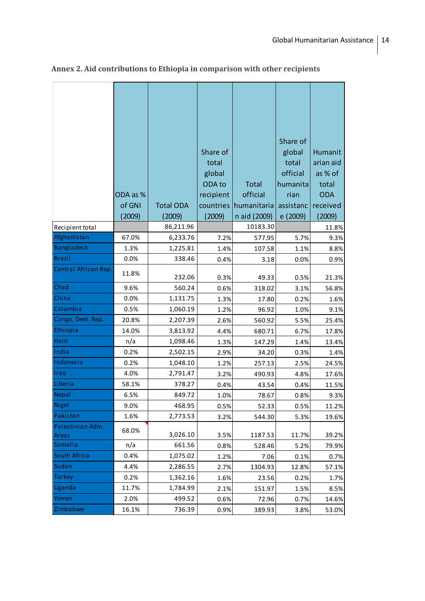|                      |          |                  |           |              | Share of  |            |
|----------------------|----------|------------------|-----------|--------------|-----------|------------|
|                      |          |                  | Share of  |              | global    | Humanit    |
|                      |          |                  | total     |              | total     | arian aid  |
|                      |          |                  | global    |              | official  | as % of    |
|                      |          |                  | ODA to    | <b>Total</b> | humanita  | total      |
|                      | ODA as % |                  | recipient | official     | rian      | <b>ODA</b> |
|                      | of GNI   | <b>Total ODA</b> | countries | humanitaria  | assistanc | received   |
|                      | (2009)   | (2009)           | (2009)    | n aid (2009) | e (2009)  | (2009)     |
| Recipient total      |          | 86,211.96        |           | 10183.30     |           | 11.8%      |
| Afghanistan          | 67.0%    | 6,233.76         | 7.2%      | 577.95       | 5.7%      | 9.3%       |
| Bangladesh           | 1.3%     | 1,225.81         | 1.4%      | 107.58       | 1.1%      | 8.8%       |
| <b>Brazil</b>        | 0.0%     | 338.46           | 0.4%      | 3.18         | 0.0%      | 0.9%       |
| Central African Rep. | 11.8%    | 232.06           | 0.3%      | 49.33        | 0.5%      | 21.3%      |
| Chad                 | 9.6%     | 560.24           | 0.6%      | 318.02       | 3.1%      | 56.8%      |
| China                | 0.0%     | 1,131.75         | 1.3%      | 17.80        | 0.2%      | 1.6%       |
| Colombia             | 0.5%     | 1,060.19         | 1.2%      | 96.92        | 1.0%      | 9.1%       |
| Congo, Dem. Rep.     | 20.8%    | 2,207.39         | 2.6%      | 560.92       | 5.5%      | 25.4%      |
| Ethiopia             | 14.0%    | 3,813.92         | 4.4%      | 680.71       | 6.7%      | 17.8%      |
| Haiti                | n/a      | 1,098.46         | 1.3%      | 147.29       | 1.4%      | 13.4%      |
| India                | 0.2%     | 2,502.15         | 2.9%      | 34.20        | 0.3%      | 1.4%       |
| Indonesia            | 0.2%     | 1,048.10         | 1.2%      | 257.13       | 2.5%      | 24.5%      |
| Iraq                 | 4.0%     | 2,791.47         | 3.2%      | 490.93       | 4.8%      | 17.6%      |
| Liberia              | 58.1%    | 378.27           | 0.4%      | 43.54        | 0.4%      | 11.5%      |
| Nepal                | 6.5%     | 849.72           | 1.0%      | 78.67        | 0.8%      | 9.3%       |
| Niger                | 9.0%     | 468.95           | 0.5%      | 52.33        | 0.5%      | 11.2%      |
| Pakistan             | 1.6%     | 2,773.53         | 3.2%      | 544.30       | 5.3%      | 19.6%      |
| Palestinian Adm.     | 68.0%    |                  |           |              |           |            |
| Areas                |          | 3,026.10         | 3.5%      | 1187.53      | 11.7%     | 39.2%      |
| Somalia              | n/a      | 661.56           | 0.8%      | 528.46       | 5.2%      | 79.9%      |
| South Africa         | 0.4%     | 1,075.02         | 1.2%      | 7.06         | 0.1%      | 0.7%       |
| Sudan                | 4.4%     | 2,286.55         | 2.7%      | 1304.93      | 12.8%     | 57.1%      |
| <b>Turkey</b>        | 0.2%     | 1,362.16         | 1.6%      | 23.56        | 0.2%      | 1.7%       |
| Uganda               | 11.7%    | 1,784.99         | 2.1%      | 151.97       | 1.5%      | 8.5%       |
| Yemen                | 2.0%     | 499.52           | 0.6%      | 72.96        | 0.7%      | 14.6%      |
| Zimbabwe             | 16.1%    | 736.39           | 0.9%      | 389.93       | 3.8%      | 53.0%      |

# <span id="page-13-0"></span>**Annex 2. Aid contributions to Ethiopia in comparison with other recipients**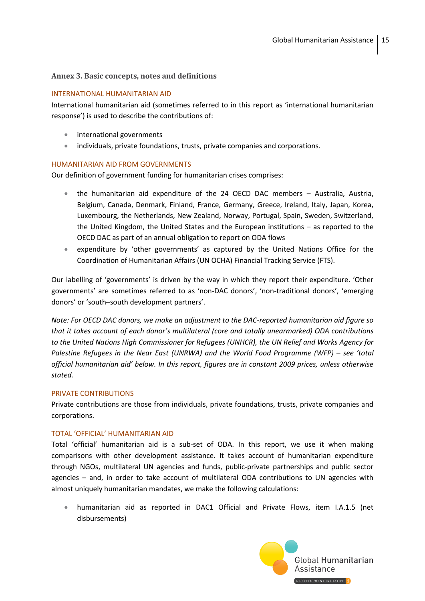#### <span id="page-14-0"></span>**Annex 3. Basic concepts, notes and definitions**

#### INTERNATIONAL HUMANITARIAN AID

International humanitarian aid (sometimes referred to in this report as 'international humanitarian response') is used to describe the contributions of:

- international governments
- individuals, private foundations, trusts, private companies and corporations.

#### HUMANITARIAN AID FROM GOVERNMENTS

Our definition of government funding for humanitarian crises comprises:

- the humanitarian aid expenditure of the 24 OECD DAC members Australia, Austria, Belgium, Canada, Denmark, Finland, France, Germany, Greece, Ireland, Italy, Japan, Korea, Luxembourg, the Netherlands, New Zealand, Norway, Portugal, Spain, Sweden, Switzerland, the United Kingdom, the United States and the European institutions – as reported to the OECD DAC as part of an annual obligation to report on ODA flows
- expenditure by 'other governments' as captured by the United Nations Office for the Coordination of Humanitarian Affairs (UN OCHA) Financial Tracking Service (FTS).

Our labelling of 'governments' is driven by the way in which they report their expenditure. 'Other governments' are sometimes referred to as 'non-DAC donors', 'non-traditional donors', 'emerging donors' or 'south–south development partners'.

*Note: For OECD DAC donors, we make an adjustment to the DAC-reported humanitarian aid figure so that it takes account of each donor's multilateral (core and totally unearmarked) ODA contributions to the United Nations High Commissioner for Refugees (UNHCR), the UN Relief and Works Agency for Palestine Refugees in the Near East (UNRWA) and the World Food Programme (WFP) – see 'total official humanitarian aid' below. In this report, figures are in constant 2009 prices, unless otherwise stated.*

#### PRIVATE CONTRIBUTIONS

Private contributions are those from individuals, private foundations, trusts, private companies and corporations.

#### TOTAL 'OFFICIAL' HUMANITARIAN AID

Total 'official' humanitarian aid is a sub-set of ODA. In this report, we use it when making comparisons with other development assistance. It takes account of humanitarian expenditure through NGOs, multilateral UN agencies and funds, public-private partnerships and public sector agencies – and, in order to take account of multilateral ODA contributions to UN agencies with almost uniquely humanitarian mandates, we make the following calculations:

 humanitarian aid as reported in DAC1 Official and Private Flows, item I.A.1.5 (net disbursements)

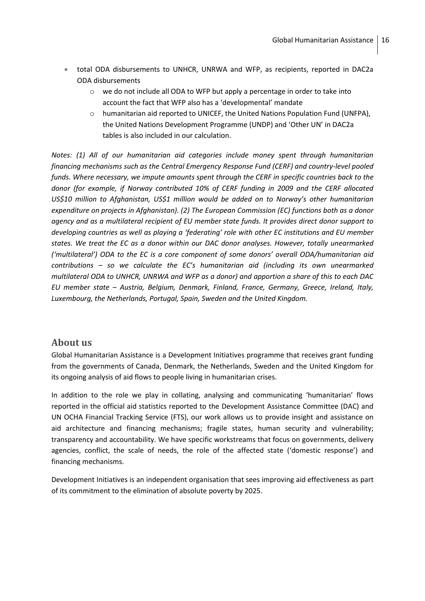- total ODA disbursements to UNHCR, UNRWA and WFP, as recipients, reported in DAC2a ODA disbursements
	- $\circ$  we do not include all ODA to WFP but apply a percentage in order to take into account the fact that WFP also has a 'developmental' mandate
	- o humanitarian aid reported to UNICEF, the United Nations Population Fund (UNFPA), the United Nations Development Programme (UNDP) and 'Other UN' in DAC2a tables is also included in our calculation.

*Notes: (1) All of our humanitarian aid categories include money spent through humanitarian financing mechanisms such as the Central Emergency Response Fund (CERF) and country-level pooled funds. Where necessary, we impute amounts spent through the CERF in specific countries back to the donor (for example, if Norway contributed 10% of CERF funding in 2009 and the CERF allocated US\$10 million to Afghanistan, US\$1 million would be added on to Norway's other humanitarian expenditure on projects in Afghanistan). (2) The European Commission (EC) functions both as a donor agency and as a multilateral recipient of EU member state funds. It provides direct donor support to developing countries as well as playing a 'federating' role with other EC institutions and EU member states. We treat the EC as a donor within our DAC donor analyses. However, totally unearmarked ('multilateral') ODA to the EC is a core component of some donors' overall ODA/humanitarian aid contributions – so we calculate the EC's humanitarian aid (including its own unearmarked multilateral ODA to UNHCR, UNRWA and WFP as a donor) and apportion a share of this to each DAC EU member state – Austria, Belgium, Denmark, Finland, France, Germany, Greece, Ireland, Italy, Luxembourg, the Netherlands, Portugal, Spain, Sweden and the United Kingdom.*

# <span id="page-15-0"></span>**About us**

Global Humanitarian Assistance is a Development Initiatives programme that receives grant funding from the governments of Canada, Denmark, the Netherlands, Sweden and the United Kingdom for its ongoing analysis of aid flows to people living in humanitarian crises.

In addition to the role we play in collating, analysing and communicating 'humanitarian' flows reported in the official aid statistics reported to the Development Assistance Committee (DAC) and UN OCHA Financial Tracking Service (FTS), our work allows us to provide insight and assistance on aid architecture and financing mechanisms; fragile states, human security and vulnerability; transparency and accountability. We have specific workstreams that focus on governments, delivery agencies, conflict, the scale of needs, the role of the affected state ('domestic response') and financing mechanisms.

Development Initiatives is an independent organisation that sees improving aid effectiveness as part of its commitment to the elimination of absolute poverty by 2025.